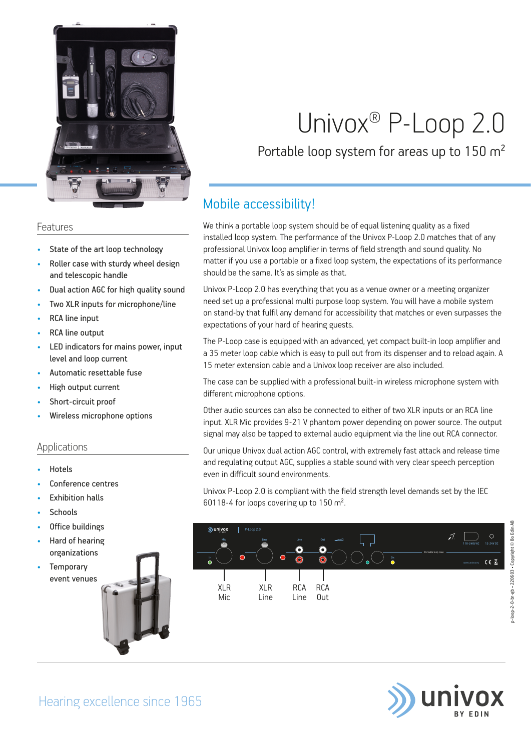

### Features

- State of the art loop technology
- Roller case with sturdy wheel design and telescopic handle
- Dual action AGC for high quality sound
- Two XLR inputs for microphone/line
- RCA line input
- RCA line output
- LED indicators for mains power, input level and loop current
- Automatic resettable fuse
- High output current
- Short-circuit proof
- Wireless microphone options

## Applications

- Hotels
- Conference centres
- **Exhibition halls**
- **Schools**
- Office buildings
- Hard of hearing organizations
- **Temporary** event venues

# Univox® P-Loop 2.0

## Portable loop system for areas up to 150 m<sup>2</sup>

## Mobile accessibility!

We think a portable loop system should be of equal listening quality as a fixed installed loop system. The performance of the Univox P-Loop 2.0 matches that of any professional Univox loop amplifier in terms of field strength and sound quality. No matter if you use a portable or a fixed loop system, the expectations of its performance should be the same. It's as simple as that.

Univox P-Loop 2.0 has everything that you as a venue owner or a meeting organizer need set up a professional multi purpose loop system. You will have a mobile system on stand-by that fulfil any demand for accessibility that matches or even surpasses the expectations of your hard of hearing guests.

The P-Loop case is equipped with an advanced, yet compact built-in loop amplifier and a 35 meter loop cable which is easy to pull out from its dispenser and to reload again. A 15 meter extension cable and a Univox loop receiver are also included.

The case can be supplied with a professional built-in wireless microphone system with different microphone options.

Other audio sources can also be connected to either of two XLR inputs or an RCA line input. XLR Mic provides 9-21 V phantom power depending on power source. The output signal may also be tapped to external audio equipment via the line out RCA connector.

Our unique Univox dual action AGC control, with extremely fast attack and release time and regulating output AGC, supplies a stable sound with very clear speech perception even in difficult sound environments.

Univox P-Loop 2.0 is compliant with the field strength level demands set by the IEC 60118-4 for loops covering up to 150 m².